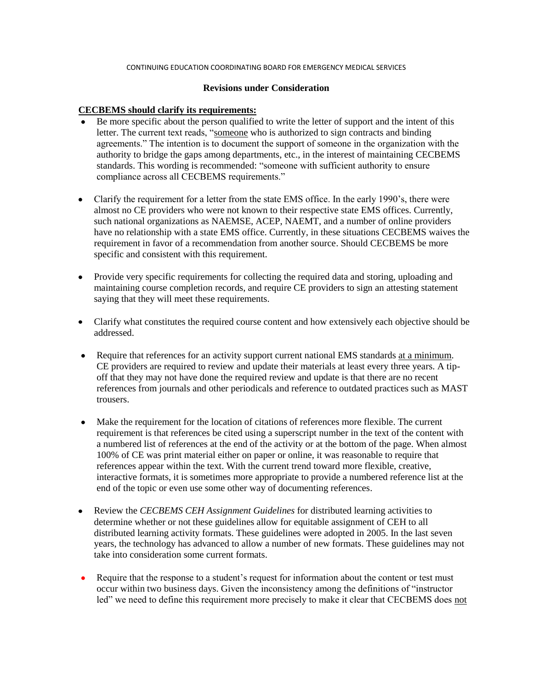#### CONTINUING EDUCATION COORDINATING BOARD FOR EMERGENCY MEDICAL SERVICES

#### **Revisions under Consideration**

## **CECBEMS should clarify its requirements:**

- Be more specific about the person qualified to write the letter of support and the intent of this letter. The current text reads, "someone who is authorized to sign contracts and binding agreements." The intention is to document the support of someone in the organization with the authority to bridge the gaps among departments, etc., in the interest of maintaining CECBEMS standards. This wording is recommended: "someone with sufficient authority to ensure compliance across all CECBEMS requirements."
- Clarify the requirement for a letter from the state EMS office. In the early 1990's, there were almost no CE providers who were not known to their respective state EMS offices. Currently, such national organizations as NAEMSE, ACEP, NAEMT, and a number of online providers have no relationship with a state EMS office. Currently, in these situations CECBEMS waives the requirement in favor of a recommendation from another source. Should CECBEMS be more specific and consistent with this requirement.
- Provide very specific requirements for collecting the required data and storing, uploading and maintaining course completion records, and require CE providers to sign an attesting statement saying that they will meet these requirements.
- Clarify what constitutes the required course content and how extensively each objective should be addressed.
- Require that references for an activity support current national EMS standards at a minimum.  $\bullet$ CE providers are required to review and update their materials at least every three years. A tipoff that they may not have done the required review and update is that there are no recent references from journals and other periodicals and reference to outdated practices such as MAST trousers.
- $\bullet$ Make the requirement for the location of citations of references more flexible. The current requirement is that references be cited using a superscript number in the text of the content with a numbered list of references at the end of the activity or at the bottom of the page. When almost 100% of CE was print material either on paper or online, it was reasonable to require that references appear within the text. With the current trend toward more flexible, creative, interactive formats, it is sometimes more appropriate to provide a numbered reference list at the end of the topic or even use some other way of documenting references.
- $\bullet$ Review the *CECBEMS CEH Assignment Guidelines* for distributed learning activities to determine whether or not these guidelines allow for equitable assignment of CEH to all distributed learning activity formats. These guidelines were adopted in 2005. In the last seven years, the technology has advanced to allow a number of new formats. These guidelines may not take into consideration some current formats.
- Require that the response to a student's request for information about the content or test must occur within two business days. Given the inconsistency among the definitions of "instructor led" we need to define this requirement more precisely to make it clear that CECBEMS does not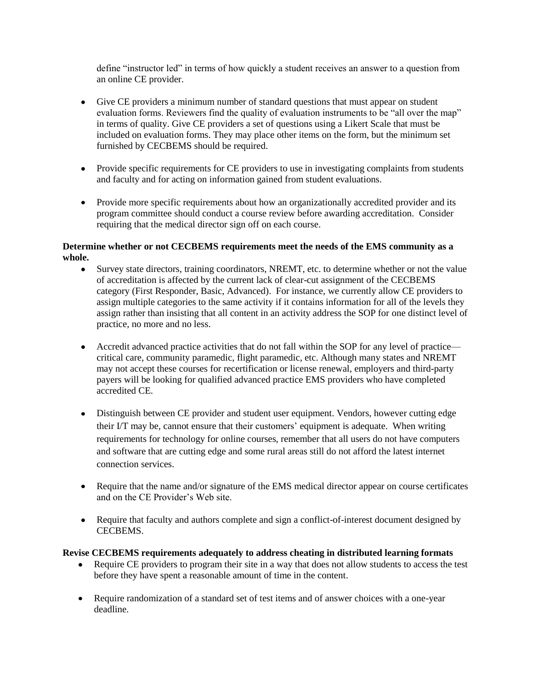define "instructor led" in terms of how quickly a student receives an answer to a question from an online CE provider.

- Give CE providers a minimum number of standard questions that must appear on student evaluation forms. Reviewers find the quality of evaluation instruments to be "all over the map" in terms of quality. Give CE providers a set of questions using a Likert Scale that must be included on evaluation forms. They may place other items on the form, but the minimum set furnished by CECBEMS should be required.
- Provide specific requirements for CE providers to use in investigating complaints from students  $\bullet$  . and faculty and for acting on information gained from student evaluations.
- Provide more specific requirements about how an organizationally accredited provider and its program committee should conduct a course review before awarding accreditation. Consider requiring that the medical director sign off on each course.

# **Determine whether or not CECBEMS requirements meet the needs of the EMS community as a whole.**

- Survey state directors, training coordinators, NREMT, etc. to determine whether or not the value  $\bullet$ of accreditation is affected by the current lack of clear-cut assignment of the CECBEMS category (First Responder, Basic, Advanced). For instance, we currently allow CE providers to assign multiple categories to the same activity if it contains information for all of the levels they assign rather than insisting that all content in an activity address the SOP for one distinct level of practice, no more and no less.
- Accredit advanced practice activities that do not fall within the SOP for any level of practice critical care, community paramedic, flight paramedic, etc. Although many states and NREMT may not accept these courses for recertification or license renewal, employers and third-party payers will be looking for qualified advanced practice EMS providers who have completed accredited CE.
- Distinguish between CE provider and student user equipment. Vendors, however cutting edge their I/T may be, cannot ensure that their customers' equipment is adequate. When writing requirements for technology for online courses, remember that all users do not have computers and software that are cutting edge and some rural areas still do not afford the latest internet connection services.
- Require that the name and/or signature of the EMS medical director appear on course certificates and on the CE Provider's Web site.
- Require that faculty and authors complete and sign a conflict-of-interest document designed by CECBEMS.

# **Revise CECBEMS requirements adequately to address cheating in distributed learning formats**

- Require CE providers to program their site in a way that does not allow students to access the test before they have spent a reasonable amount of time in the content.
- Require randomization of a standard set of test items and of answer choices with a one-year deadline.